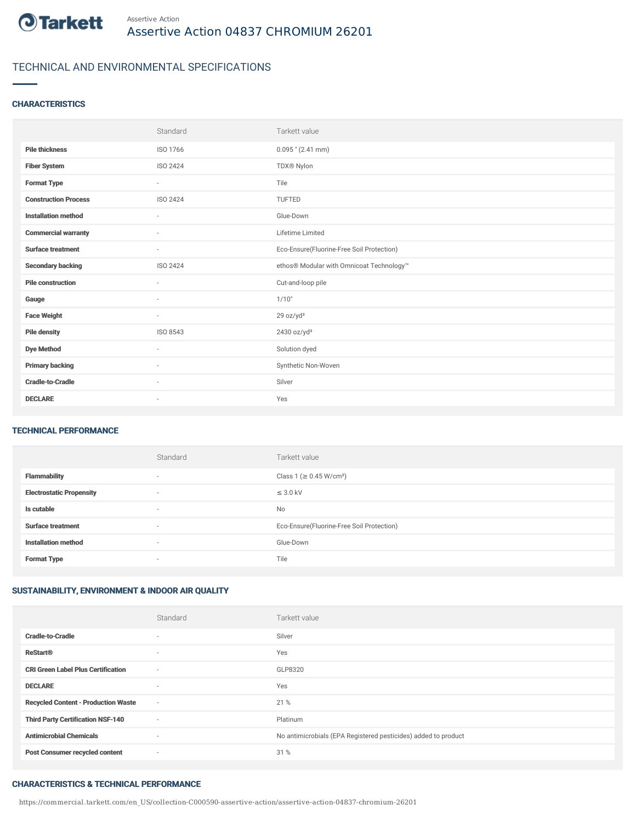

## TECHNICAL AND ENVIRONMENTAL SPECIFICATIONS

#### **CHARACTERISTICS**

|                             | Standard                 | Tarkett value                             |
|-----------------------------|--------------------------|-------------------------------------------|
| <b>Pile thickness</b>       | ISO 1766                 | $0.095$ " (2.41 mm)                       |
| <b>Fiber System</b>         | ISO 2424                 | TDX® Nylon                                |
| <b>Format Type</b>          | $\sim$                   | Tile                                      |
| <b>Construction Process</b> | ISO 2424                 | TUFTED                                    |
| <b>Installation method</b>  | $\overline{\phantom{a}}$ | Glue-Down                                 |
| <b>Commercial warranty</b>  | $\sim$                   | Lifetime Limited                          |
| <b>Surface treatment</b>    | $\sim$                   | Eco-Ensure(Fluorine-Free Soil Protection) |
| <b>Secondary backing</b>    | ISO 2424                 | ethos® Modular with Omnicoat Technology™  |
| <b>Pile construction</b>    | $\sim$                   | Cut-and-loop pile                         |
| Gauge                       | $\sim$                   | 1/10"                                     |
| <b>Face Weight</b>          | $\sim$                   | 29 oz/yd <sup>2</sup>                     |
| <b>Pile density</b>         | ISO 8543                 | 2430 oz/yd <sup>3</sup>                   |
| <b>Dye Method</b>           | ٠                        | Solution dyed                             |
| <b>Primary backing</b>      | ٠                        | Synthetic Non-Woven                       |
| <b>Cradle-to-Cradle</b>     | $\sim$                   | Silver                                    |
| <b>DECLARE</b>              | $\overline{\phantom{a}}$ | Yes                                       |

#### TECHNICAL PERFORMANCE

|                                 | Standard                 | Tarkett value                             |
|---------------------------------|--------------------------|-------------------------------------------|
| <b>Flammability</b>             | $\overline{\phantom{a}}$ | Class 1 (≥ 0.45 W/cm <sup>2</sup> )       |
| <b>Electrostatic Propensity</b> | $\sim$                   | $\leq$ 3.0 kV                             |
| Is cutable                      | $\sim$                   | No                                        |
| <b>Surface treatment</b>        | $\overline{\phantom{a}}$ | Eco-Ensure(Fluorine-Free Soil Protection) |
| <b>Installation method</b>      | $\overline{\phantom{a}}$ | Glue-Down                                 |
| <b>Format Type</b>              | $\overline{\phantom{a}}$ | Tile                                      |

### SUSTAINABILITY, ENVIRONMENT & INDOOR AIR QUALITY

|                                            | Standard                 | Tarkett value                                                  |
|--------------------------------------------|--------------------------|----------------------------------------------------------------|
| <b>Cradle-to-Cradle</b>                    | $\overline{\phantom{a}}$ | Silver                                                         |
| <b>ReStart®</b>                            | $\overline{\phantom{a}}$ | Yes                                                            |
| <b>CRI Green Label Plus Certification</b>  | $\sim$                   | GLP8320                                                        |
| <b>DECLARE</b>                             | $\overline{\phantom{a}}$ | Yes                                                            |
| <b>Recycled Content - Production Waste</b> | $\sim$                   | 21 %                                                           |
| <b>Third Party Certification NSF-140</b>   | $\overline{\phantom{a}}$ | Platinum                                                       |
| <b>Antimicrobial Chemicals</b>             | ٠                        | No antimicrobials (EPA Registered pesticides) added to product |
| <b>Post Consumer recycled content</b>      | $\overline{\phantom{a}}$ | 31 %                                                           |

#### CHARACTERISTICS & TECHNICAL PERFORMANCE

https://commercial.tarkett.com/en\_US/collection-C000590-assertive-action/assertive-action-04837-chromium-26201